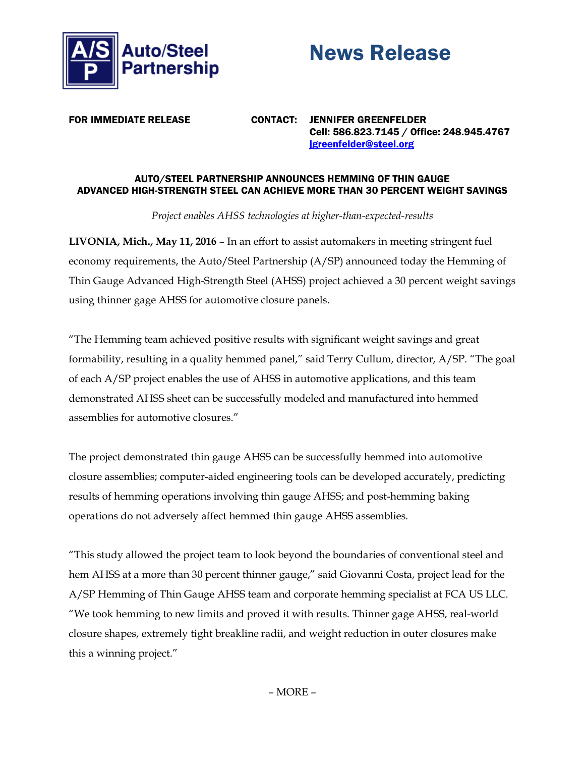



FOR IMMEDIATE RELEASE CONTACT: JENNIFER GREENFELDER Cell: 586.823.7145 / Office: 248.945.4767 [jgreenfelder@steel.org](mailto:jgreenfelder@steel.org)

## AUTO/STEEL PARTNERSHIP ANNOUNCES HEMMING OF THIN GAUGE ADVANCED HIGH-STRENGTH STEEL CAN ACHIEVE MORE THAN 30 PERCENT WEIGHT SAVINGS

*Project enables AHSS technologies at higher-than-expected-results* 

**LIVONIA, Mich., May 11, 2016** – In an effort to assist automakers in meeting stringent fuel economy requirements, the Auto/Steel Partnership (A/SP) announced today the Hemming of Thin Gauge Advanced High-Strength Steel (AHSS) project achieved a 30 percent weight savings using thinner gage AHSS for automotive closure panels.

"The Hemming team achieved positive results with significant weight savings and great formability, resulting in a quality hemmed panel," said Terry Cullum, director, A/SP. "The goal of each A/SP project enables the use of AHSS in automotive applications, and this team demonstrated AHSS sheet can be successfully modeled and manufactured into hemmed assemblies for automotive closures."

The project demonstrated thin gauge AHSS can be successfully hemmed into automotive closure assemblies; computer-aided engineering tools can be developed accurately, predicting results of hemming operations involving thin gauge AHSS; and post-hemming baking operations do not adversely affect hemmed thin gauge AHSS assemblies.

"This study allowed the project team to look beyond the boundaries of conventional steel and hem AHSS at a more than 30 percent thinner gauge," said Giovanni Costa, project lead for the A/SP Hemming of Thin Gauge AHSS team and corporate hemming specialist at FCA US LLC. "We took hemming to new limits and proved it with results. Thinner gage AHSS, real-world closure shapes, extremely tight breakline radii, and weight reduction in outer closures make this a winning project."